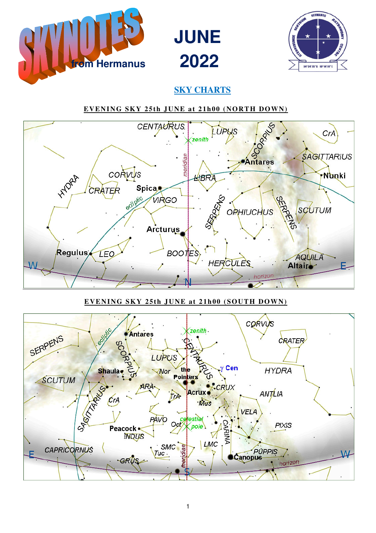





# **SKY CHARTS**

### **EVENING SKY 25th JUNE at 21h00 (NORTH DOWN)**



### **EVENING SKY 25th JUNE at 21h00 (SOUTH DOWN)**

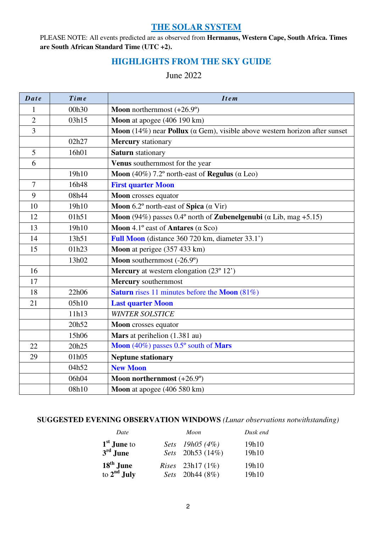# **THE SOLAR SYSTEM**

PLEASE NOTE: All events predicted are as observed from **Hermanus, Western Cape, South Africa. Times are South African Standard Time (UTC +2).**

### **HIGHLIGHTS FROM THE SKY GUIDE**

June 2022

| <b>Date</b>    | <b>Time</b> | <b>Item</b>                                                                        |
|----------------|-------------|------------------------------------------------------------------------------------|
| $\mathbf{1}$   | 00h30       | <b>Moon</b> northernmost $(+26.9^{\circ})$                                         |
| $\overline{2}$ | 03h15       | Moon at apogee (406 190 km)                                                        |
| 3              |             | Moon (14%) near Pollux ( $\alpha$ Gem), visible above western horizon after sunset |
|                | 02h27       | <b>Mercury</b> stationary                                                          |
| 5              | 16h01       | <b>Saturn</b> stationary                                                           |
| 6              |             | Venus southernmost for the year                                                    |
|                | 19h10       | Moon (40%) $7.2^{\circ}$ north-east of Regulus ( $\alpha$ Leo)                     |
| $\overline{7}$ | 16h48       | <b>First quarter Moon</b>                                                          |
| 9              | 08h44       | Moon crosses equator                                                               |
| 10             | 19h10       | Moon 6.2° north-east of Spica $(\alpha \text{ Vir})$                               |
| 12             | 01h51       | Moon (94%) passes 0.4° north of <b>Zubenelgenubi</b> ( $\alpha$ Lib, mag +5.15)    |
| 13             | 19h10       | Moon 4.1° east of Antares ( $\alpha$ Sco)                                          |
| 14             | 13h51       | Full Moon (distance 360 720 km, diameter 33.1')                                    |
| 15             | 01h23       | Moon at perigee (357 433 km)                                                       |
|                | 13h02       | <b>Moon</b> southernmost $(-26.9^{\circ})$                                         |
| 16             |             | <b>Mercury</b> at western elongation $(23^{\circ} 12^{\circ})$                     |
| 17             |             | <b>Mercury</b> southernmost                                                        |
| 18             | 22h06       | <b>Saturn</b> rises 11 minutes before the <b>Moon</b> (81%)                        |
| 21             | 05h10       | <b>Last quarter Moon</b>                                                           |
|                | 11h13       | <b>WINTER SOLSTICE</b>                                                             |
|                | 20h52       | Moon crosses equator                                                               |
|                | 15h06       | Mars at perihelion (1.381 au)                                                      |
| 22             | 20h25       | Moon (40%) passes 0.5° south of Mars                                               |
| 29             | 01h05       | <b>Neptune stationary</b>                                                          |
|                | 04h52       | <b>New Moon</b>                                                                    |
|                | 06h04       | Moon northernmost $(+26.9^{\circ})$                                                |
|                | 08h10       | Moon at apogee (406 580 km)                                                        |

### **SUGGESTED EVENING OBSERVATION WINDOWS** *(Lunar observations notwithstanding)*

| Date                  | Moon                      | Dusk end |
|-----------------------|---------------------------|----------|
| $1st$ June to         | Sets $19h05(4\%)$         | 19h10    |
| $3rd$ June            | Sets 20h53 (14%)          | 19h10    |
| 18 <sup>th</sup> June | <i>Rises</i> 23h17 $(1%)$ | 19h10    |
| to $2nd$ July         | Sets 20h44 (8%)           | 19h10    |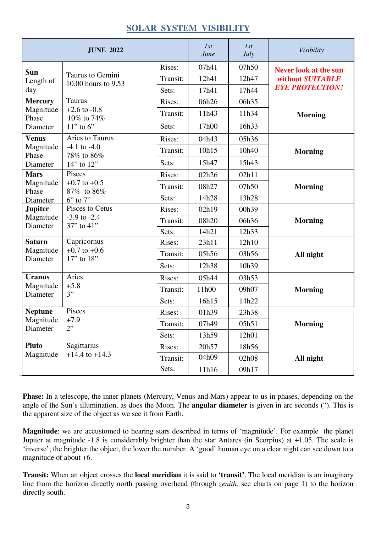### **SOLAR SYSTEM VISIBILITY**

| <b>JUNE 2022</b>                        |                                                          |          | 1st<br>June | 1st<br>July | Visibility                   |
|-----------------------------------------|----------------------------------------------------------|----------|-------------|-------------|------------------------------|
| <b>Sun</b><br>Length of                 | Taurus to Gemini<br>10.00 hours to 9.53                  | Rises:   | 07h41       | 07h50       | <b>Never look at the sun</b> |
|                                         |                                                          | Transit: | 12h41       | 12h47       | without SUITABLE             |
| day                                     |                                                          | Sets:    | 17h41       | 17h44       | <b>EYE PROTECTION!</b>       |
| <b>Mercury</b>                          | Taurus                                                   | Rises:   | 06h26       | 06h35       |                              |
| Magnitude<br>Phase                      | $+2.6$ to $-0.8$                                         | Transit: | 11h43       | 11h34       | <b>Morning</b>               |
| Diameter                                | 10% to 74%<br>$11$ " to 6"                               | Sets:    | 17h00       | 16h33       |                              |
| <b>Venus</b>                            | Aries to Taurus                                          | Rises:   | 04h43       | 05h36       |                              |
| Magnitude<br>Phase                      | $-4.1$ to $-4.0$<br>78% to 86%                           | Transit: | 10h15       | 10h40       | <b>Morning</b>               |
| Diameter                                | 14" to 12"                                               | Sets:    | 15h47       | 15h43       |                              |
| <b>Mars</b>                             | Pisces<br>$+0.7$ to $+0.5$<br>87% to 86%<br>$6"$ to $7"$ | Rises:   | 02h26       | 02h11       |                              |
| Magnitude<br>Phase                      |                                                          | Transit: | 08h27       | 07h50       | <b>Morning</b>               |
| Diameter                                |                                                          | Sets:    | 14h28       | 13h28       |                              |
| <b>Jupiter</b>                          | Pisces to Cetus<br>$-3.9$ to $-2.4$<br>$37$ " to $41$ "  | Rises:   | 02h19       | 00h39       |                              |
| Magnitude<br>Diameter                   |                                                          | Transit: | 08h20       | 06h36       | <b>Morning</b>               |
|                                         |                                                          | Sets:    | 14h21       | 12h33       |                              |
| <b>Saturn</b><br>Magnitude<br>Diameter  | Capricornus<br>$+0.7$ to $+0.6$<br>$17$ " to $18$ "      | Rises:   | 23h11       | 12h10       |                              |
|                                         |                                                          | Transit: | 05h56       | 03h56       | All night                    |
|                                         |                                                          | Sets:    | 12h38       | 10h39       |                              |
| <b>Uranus</b>                           | Aries<br>$+5.8$<br>3"                                    | Rises:   | 05h44       | 03h53       |                              |
| Magnitude<br>Diameter                   |                                                          | Transit: | 11h00       | 09h07       | <b>Morning</b>               |
|                                         |                                                          | Sets:    | 16h15       | 14h22       |                              |
| <b>Neptune</b><br>Magnitude<br>Diameter | Pisces<br>$+7.9$<br>2"                                   | Rises:   | 01h39       | 23h38       |                              |
|                                         |                                                          | Transit: | 07h49       | 05h51       | <b>Morning</b>               |
|                                         |                                                          | Sets:    | 13h59       | 12h01       |                              |
| <b>Pluto</b>                            | Sagittarius                                              | Rises:   | 20h57       | 18h56       |                              |
| Magnitude                               | $+14.4$ to $+14.3$                                       | Transit: | 04h09       | 02h08       | All night                    |
|                                         |                                                          | Sets:    | 11h16       | 09h17       |                              |

**Phase:** In a telescope, the inner planets (Mercury, Venus and Mars) appear to us in phases, depending on the angle of the Sun's illumination, as does the Moon. The **angular diameter** is given in arc seconds ("). This is the apparent size of the object as we see it from Earth.

**Magnitude**: we are accustomed to hearing stars described in terms of 'magnitude'. For example the planet Jupiter at magnitude -1.8 is considerably brighter than the star Antares (in Scorpius) at +1.05. The scale is 'inverse'; the brighter the object, the lower the number*.* A 'good' human eye on a clear night can see down to a magnitude of about +6.

**Transit:** When an object crosses the **local meridian** it is said to **'transit'**. The local meridian is an imaginary line from the horizon directly north passing overhead (through *zenith,* see charts on page 1) to the horizon directly south.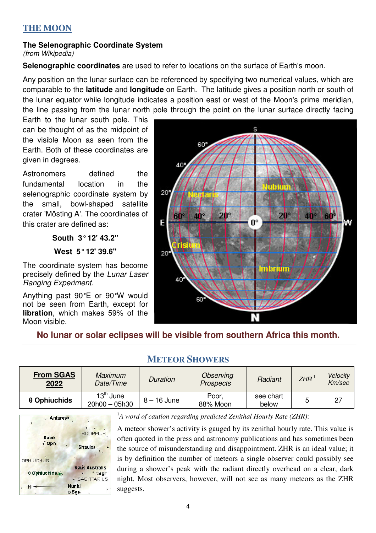## **THE MOON**

#### **The Selenographic Coordinate System** *(from Wikipedia)*

**Selenographic coordinates** are used to refer to locations on the surface of Earth's moon.

Any position on the lunar surface can be referenced by specifying two numerical values, which are comparable to the **latitude** and **longitude** on Earth. The latitude gives a position north or south of the lunar equator while longitude indicates a position east or west of the Moon's prime meridian, the line passing from the lunar north pole through the point on the lunar surface directly facing

Earth to the lunar south pole. This can be thought of as the midpoint of the visible Moon as seen from the Earth. Both of these coordinates are given in degrees.

Astronomers defined the fundamental location in the selenographic coordinate system by the small, bowl-shaped satellite crater 'Mösting A'. The coordinates of this crater are defined as:

**South 3° 12' 43.2"** 

### **West 5° 12' 39.6"**

The coordinate system has become precisely defined by the *Lunar Laser Ranging Experiment.*

Anything past 90°E or 90°W would not be seen from Earth, except for **libration**, which makes 59% of the Moon visible.



# **No lunar or solar eclipses will be visible from southern Africa this month.**

## **METEOR SHOWERS**

| <b>From SGAS</b><br>2022 | Maximum<br>Date/Time                     | Duration      | Observing<br><b>Prospects</b> | Radiant            | <b>ZHR</b> | Velocity<br>Km/sec |
|--------------------------|------------------------------------------|---------------|-------------------------------|--------------------|------------|--------------------|
| θ Ophiuchids             | $13^{\text{th}}$ June<br>$20h00 - 05h30$ | $8 - 16$ June | Poor.<br>88% Moon             | see chart<br>below | 5          |                    |



<sup>1</sup>*A word of caution regarding predicted Zenithal Hourly Rate (ZHR)*:

A meteor shower's activity is gauged by its zenithal hourly rate. This value is often quoted in the press and astronomy publications and has sometimes been the source of misunderstanding and disappointment. ZHR is an ideal value; it is by definition the number of meteors a single observer could possibly see during a shower's peak with the radiant directly overhead on a clear, dark night. Most observers, however, will not see as many meteors as the ZHR suggests.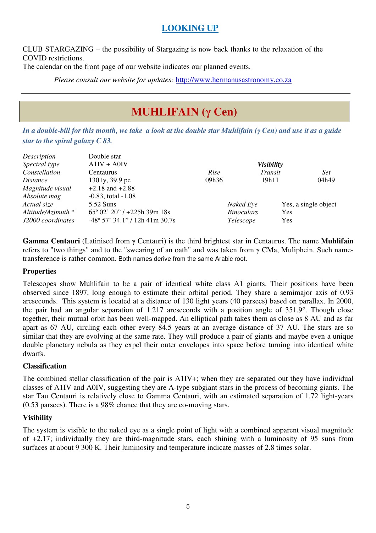# **LOOKING UP**

CLUB STARGAZING *–* the possibility of Stargazing is now back thanks to the relaxation of the COVID restrictions.

The calendar on the front page of our website indicates our planned events.

*Please consult our website for updates:* http://www.hermanusastronomy.co.za

# **MUHLIFAIN (γ Cen)**

*In a double-bill for this month, we take a look at the double star Muhlifain (γ Cen) and use it as a guide star to the spiral galaxy C 83.* 

| Description          | Double star                             |           |                   |                      |
|----------------------|-----------------------------------------|-----------|-------------------|----------------------|
| Spectral type        | $A1IV + A0IV$                           |           | <b>Visibility</b> |                      |
| Constellation        | Centaurus                               | Rise      | Transit           | <b>Set</b>           |
| Distance             | 130 ly, $39.9$ pc                       | 09h36     | 19h11             | 04h49                |
| Magnitude visual     | $+2.18$ and $+2.88$                     |           |                   |                      |
| Absolute mag         | $-0.83$ , total $-1.08$                 |           |                   |                      |
| Actual size          | 5.52 Suns                               | Naked Eye |                   | Yes, a single object |
| Altitude/Azimuth $*$ | $65^{\circ}$ 02' 20" / +225h 39m 18s    |           | <b>Binoculars</b> | Yes                  |
| J2000 coordinates    | $-48^{\circ}$ 57' 34.1" / 12h 41m 30.7s | Telescope |                   | Yes                  |

**Gamma Centauri** (Latinised from γ Centauri) is the third brightest star in Centaurus. The name **Muhlifain** refers to "two things" and to the "swearing of an oath" and was taken from γ CMa, Muliphein. Such nametransference is rather common. Both names derive from the same Arabic root.

#### **Properties**

Telescopes show Muhlifain to be a pair of identical white class A1 giants. Their positions have been observed since 1897, long enough to estimate their orbital period. They share a semimajor axis of 0.93 arcseconds. This system is located at a distance of 130 light years (40 parsecs) based on parallax. In 2000, the pair had an angular separation of 1.217 arcseconds with a position angle of 351.9°. Though close together, their mutual orbit has been well-mapped. An elliptical path takes them as close as 8 AU and as far apart as 67 AU, circling each other every 84.5 years at an average distance of 37 AU. The stars are so similar that they are evolving at the same rate. They will produce a pair of giants and maybe even a unique double planetary nebula as they expel their outer envelopes into space before turning into identical white dwarfs.

#### **Classification**

The combined stellar classification of the pair is A1IV+; when they are separated out they have individual classes of A1IV and A0IV, suggesting they are A-type subgiant stars in the process of becoming giants. The star Tau Centauri is relatively close to Gamma Centauri, with an estimated separation of 1.72 light-years (0.53 parsecs). There is a 98% chance that they are co-moving stars.

#### **Visibility**

The system is visible to the naked eye as a single point of light with a combined apparent visual magnitude of +2.17; individually they are third-magnitude stars, each shining with a luminosity of 95 suns from surfaces at about 9 300 K. Their luminosity and temperature indicate masses of 2.8 times solar.